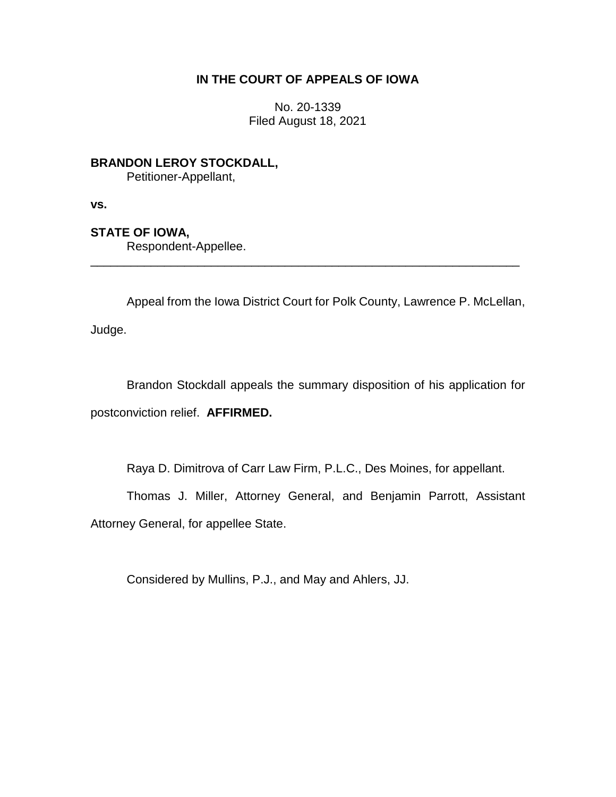## **IN THE COURT OF APPEALS OF IOWA**

No. 20-1339 Filed August 18, 2021

**BRANDON LEROY STOCKDALL,** Petitioner-Appellant,

**vs.**

## **STATE OF IOWA,**

Respondent-Appellee.

Appeal from the Iowa District Court for Polk County, Lawrence P. McLellan, Judge.

\_\_\_\_\_\_\_\_\_\_\_\_\_\_\_\_\_\_\_\_\_\_\_\_\_\_\_\_\_\_\_\_\_\_\_\_\_\_\_\_\_\_\_\_\_\_\_\_\_\_\_\_\_\_\_\_\_\_\_\_\_\_\_\_

Brandon Stockdall appeals the summary disposition of his application for postconviction relief. **AFFIRMED.**

Raya D. Dimitrova of Carr Law Firm, P.L.C., Des Moines, for appellant.

Thomas J. Miller, Attorney General, and Benjamin Parrott, Assistant

Attorney General, for appellee State.

Considered by Mullins, P.J., and May and Ahlers, JJ.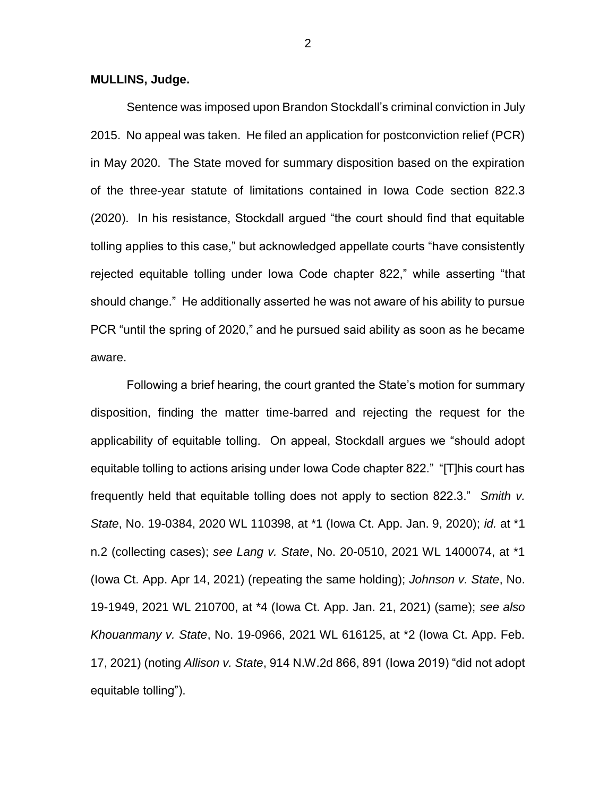**MULLINS, Judge.**

Sentence was imposed upon Brandon Stockdall's criminal conviction in July 2015. No appeal was taken. He filed an application for postconviction relief (PCR) in May 2020. The State moved for summary disposition based on the expiration of the three-year statute of limitations contained in Iowa Code section 822.3 (2020). In his resistance, Stockdall argued "the court should find that equitable tolling applies to this case," but acknowledged appellate courts "have consistently rejected equitable tolling under Iowa Code chapter 822," while asserting "that should change." He additionally asserted he was not aware of his ability to pursue PCR "until the spring of 2020," and he pursued said ability as soon as he became aware.

Following a brief hearing, the court granted the State's motion for summary disposition, finding the matter time-barred and rejecting the request for the applicability of equitable tolling. On appeal, Stockdall argues we "should adopt equitable tolling to actions arising under Iowa Code chapter 822." "[T]his court has frequently held that equitable tolling does not apply to section 822.3." *Smith v. State*, No. 19-0384, 2020 WL 110398, at \*1 (Iowa Ct. App. Jan. 9, 2020); *id.* at \*1 n.2 (collecting cases); *see Lang v. State*, No. 20-0510, 2021 WL 1400074, at \*1 (Iowa Ct. App. Apr 14, 2021) (repeating the same holding); *Johnson v. State*, No. 19-1949, 2021 WL 210700, at \*4 (Iowa Ct. App. Jan. 21, 2021) (same); *see also Khouanmany v. State*, No. 19-0966, 2021 WL 616125, at \*2 (Iowa Ct. App. Feb. 17, 2021) (noting *Allison v. State*, 914 N.W.2d 866, 891 (Iowa 2019) "did not adopt equitable tolling").

2